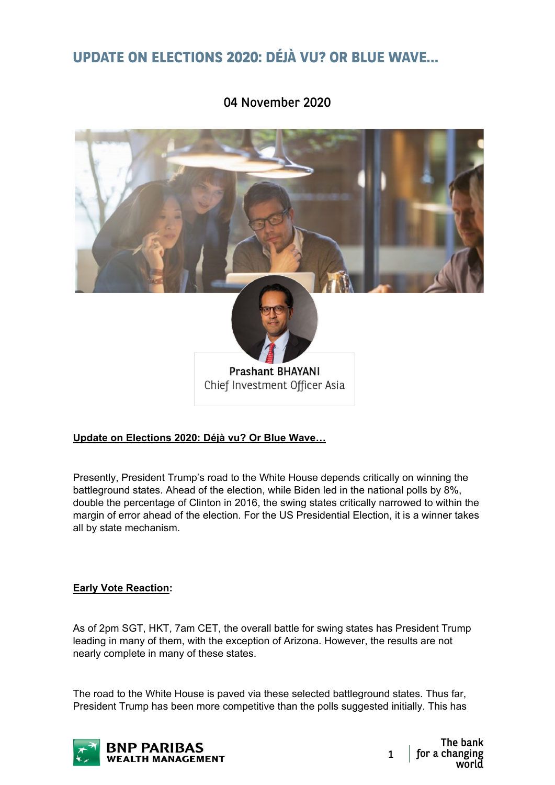# **UPDATE ON ELECTIONS 2020: DÉJÀ VU? OR BLUE WAVE…**



## 04 November 2020

## **Update on Elections 2020: Déjà vu? Or Blue Wave…**

Presently, President Trump's road to the White House depends critically on winning the battleground states. Ahead of the election, while Biden led in the national polls by 8%, double the percentage of Clinton in 2016, the swing states critically narrowed to within the margin of error ahead of the election. For the US Presidential Election, it is a winner takes all by state mechanism.

## **Early Vote Reaction:**

As of 2pm SGT, HKT, 7am CET, the overall battle for swing states has President Trump leading in many of them, with the exception of Arizona. However, the results are not nearly complete in many of these states.

The road to the White House is paved via these selected battleground states. Thus far, President Trump has been more competitive than the polls suggested initially. This has

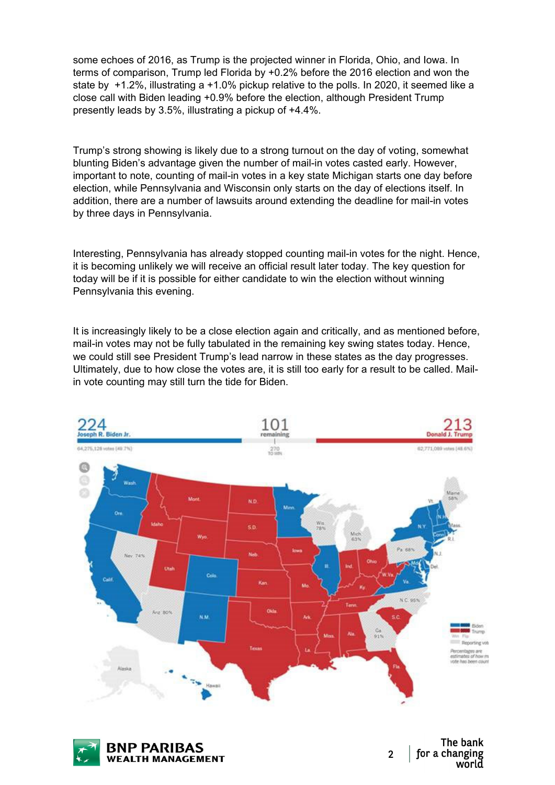some echoes of 2016, as Trump is the projected winner in Florida, Ohio, and Iowa. In terms of comparison, Trump led Florida by +0.2% before the 2016 election and won the state by +1.2%, illustrating a +1.0% pickup relative to the polls. In 2020, it seemed like a close call with Biden leading +0.9% before the election, although President Trump presently leads by 3.5%, illustrating a pickup of +4.4%.

Trump's strong showing is likely due to a strong turnout on the day of voting, somewhat blunting Biden's advantage given the number of mail-in votes casted early. However, important to note, counting of mail-in votes in a key state Michigan starts one day before election, while Pennsylvania and Wisconsin only starts on the day of elections itself. In addition, there are a number of lawsuits around extending the deadline for mail-in votes by three days in Pennsylvania.

Interesting, Pennsylvania has already stopped counting mail-in votes for the night. Hence, it is becoming unlikely we will receive an official result later today. The key question for today will be if it is possible for either candidate to win the election without winning Pennsylvania this evening.

It is increasingly likely to be a close election again and critically, and as mentioned before, mail-in votes may not be fully tabulated in the remaining key swing states today. Hence, we could still see President Trump's lead narrow in these states as the day progresses. Ultimately, due to how close the votes are, it is still too early for a result to be called. Mailin vote counting may still turn the tide for Biden.



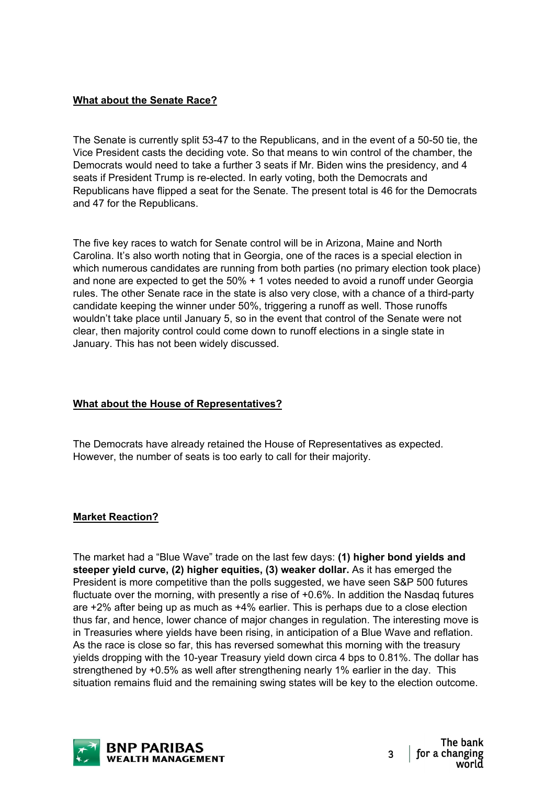## **What about the Senate Race?**

The Senate is currently split 53-47 to the Republicans, and in the event of a 50-50 tie, the Vice President casts the deciding vote. So that means to win control of the chamber, the Democrats would need to take a further 3 seats if Mr. Biden wins the presidency, and 4 seats if President Trump is re-elected. In early voting, both the Democrats and Republicans have flipped a seat for the Senate. The present total is 46 for the Democrats and 47 for the Republicans.

The five key races to watch for Senate control will be in Arizona, Maine and North Carolina. It's also worth noting that in Georgia, one of the races is a special election in which numerous candidates are running from both parties (no primary election took place) and none are expected to get the 50% + 1 votes needed to avoid a runoff under Georgia rules. The other Senate race in the state is also very close, with a chance of a third-party candidate keeping the winner under 50%, triggering a runoff as well. Those runoffs wouldn't take place until January 5, so in the event that control of the Senate were not clear, then majority control could come down to runoff elections in a single state in January. This has not been widely discussed.

## **What about the House of Representatives?**

The Democrats have already retained the House of Representatives as expected. However, the number of seats is too early to call for their majority.

## **Market Reaction?**

The market had a "Blue Wave" trade on the last few days: **(1) higher bond yields and steeper yield curve, (2) higher equities, (3) weaker dollar.** As it has emerged the President is more competitive than the polls suggested, we have seen S&P 500 futures fluctuate over the morning, with presently a rise of +0.6%. In addition the Nasdaq futures are +2% after being up as much as +4% earlier. This is perhaps due to a close election thus far, and hence, lower chance of major changes in regulation. The interesting move is in Treasuries where yields have been rising, in anticipation of a Blue Wave and reflation. As the race is close so far, this has reversed somewhat this morning with the treasury yields dropping with the 10-year Treasury yield down circa 4 bps to 0.81%. The dollar has strengthened by +0.5% as well after strengthening nearly 1% earlier in the day. This situation remains fluid and the remaining swing states will be key to the election outcome.

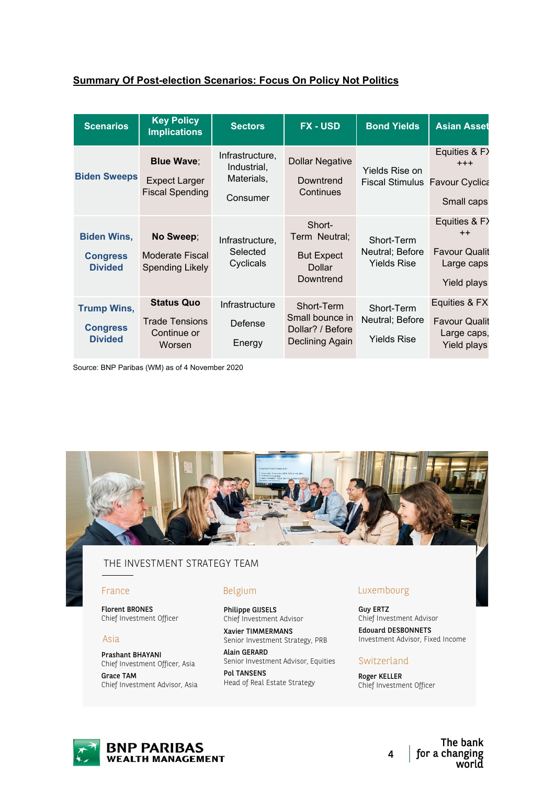## **Summary Of Post-election Scenarios: Focus On Policy Not Politics**

| <b>Scenarios</b>                                        | <b>Key Policy</b><br><b>Implications</b>                            | <b>Sectors</b>                                           | <b>FX-USD</b>                                                               | <b>Bond Yields</b>                                      | <b>Asian Asset</b>                                                         |
|---------------------------------------------------------|---------------------------------------------------------------------|----------------------------------------------------------|-----------------------------------------------------------------------------|---------------------------------------------------------|----------------------------------------------------------------------------|
| <b>Biden Sweeps</b>                                     | <b>Blue Wave:</b><br><b>Expect Larger</b><br><b>Fiscal Spending</b> | Infrastructure,<br>Industrial,<br>Materials,<br>Consumer | <b>Dollar Negative</b><br>Downtrend<br>Continues                            | Yields Rise on<br><b>Fiscal Stimulus Favour Cyclica</b> | Equities & F><br>$+ + +$<br>Small caps                                     |
| <b>Biden Wins,</b><br><b>Congress</b><br><b>Divided</b> | No Sweep;<br>Moderate Fiscal<br><b>Spending Likely</b>              | Infrastructure,<br>Selected<br>Cyclicals                 | Short-<br>Term Neutral;<br><b>But Expect</b><br><b>Dollar</b><br>Downtrend  | Short-Term<br>Neutral; Before<br><b>Yields Rise</b>     | Equities & F><br>$++$<br><b>Favour Qualit</b><br>Large caps<br>Yield plays |
| <b>Trump Wins,</b><br><b>Congress</b><br><b>Divided</b> | <b>Status Quo</b><br><b>Trade Tensions</b><br>Continue or<br>Worsen | Infrastructure<br>Defense<br>Energy                      | Short-Term<br>Small bounce in<br>Dollar? / Before<br><b>Declining Again</b> | Short-Term<br>Neutral; Before<br><b>Yields Rise</b>     | Equities & FX<br><b>Favour Qualit</b><br>Large caps,<br>Yield plays        |

Source: BNP Paribas (WM) as of 4 November 2020



## THE INVESTMENT STRATEGY TEAM

#### France

Florent BRONES Chief Investment Officer

#### Asia

Prashant BHAYANI Chief Investment Officer, Asia Grace TAM Chief Investment Advisor, Asia

#### Belgium

Philippe GIJSELS Chief Investment Advisor

Xavier TIMMERMANS Senior Investment Strategy, PRB Alain GERARD

Senior Investment Advisor, Equities Pol TANSENS

Head of Real Estate Strategy

## Luxembourg

Guy ERTZ Chief Investment Advisor Edouard DESBONNETS Investment Advisor, Fixed Income

#### Switzerland

Roger KELLER Chief Investment Officer



The bank for a changing 4 world